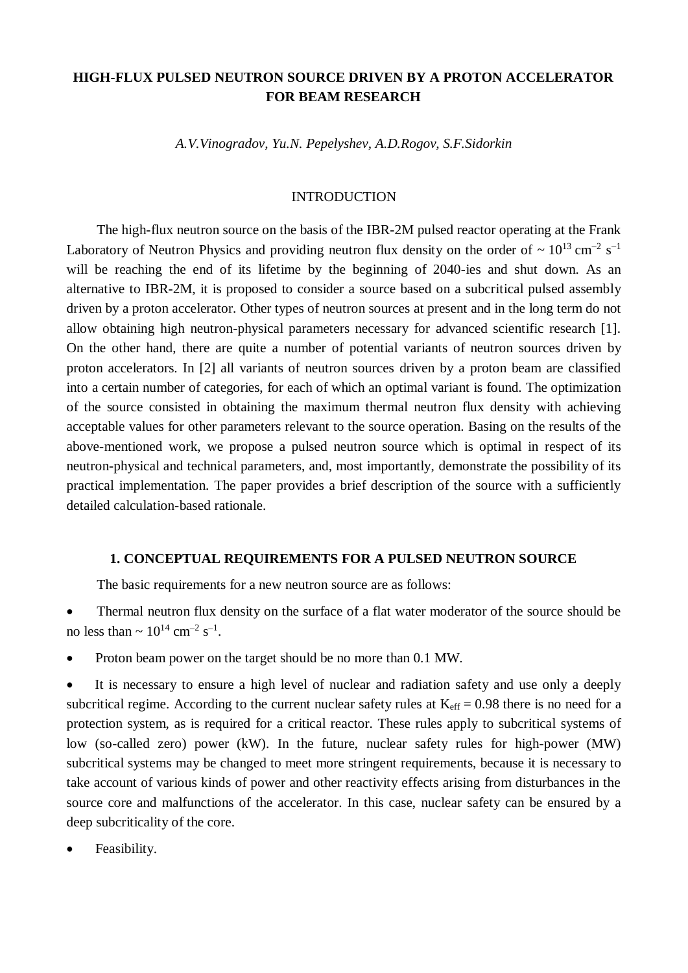# **HIGH-FLUX PULSED NEUTRON SOURCE DRIVEN BY A PROTON ACCELERATOR FOR BEAM RESEARCH**

*A.V.Vinogradov, Yu.N. Pepelyshev, A.D.Rogov, S.F.Sidorkin*

# INTRODUCTION

The high-flux neutron source on the basis of the IBR-2M pulsed reactor operating at the Frank Laboratory of Neutron Physics and providing neutron flux density on the order of  $\sim 10^{13}$  cm<sup>-2</sup> s<sup>-1</sup> will be reaching the end of its lifetime by the beginning of 2040-ies and shut down. As an alternative to IBR-2M, it is proposed to consider a source based on a subcritical pulsed assembly driven by a proton accelerator. Other types of neutron sources at present and in the long term do not allow obtaining high neutron-physical parameters necessary for advanced scientific research [1]. On the other hand, there are quite a number of potential variants of neutron sources driven by proton accelerators. In [2] all variants of neutron sources driven by a proton beam are classified into a certain number of categories, for each of which an optimal variant is found. The optimization of the source consisted in obtaining the maximum thermal neutron flux density with achieving acceptable values for other parameters relevant to the source operation. Basing on the results of the above-mentioned work, we propose a pulsed neutron source which is optimal in respect of its neutron-physical and technical parameters, and, most importantly, demonstrate the possibility of its practical implementation. The paper provides a brief description of the source with a sufficiently detailed calculation-based rationale.

# **1. CONCEPTUAL REQUIREMENTS FOR A PULSED NEUTRON SOURCE**

The basic requirements for a new neutron source are as follows:

• Thermal neutron flux density on the surface of a flat water moderator of the source should be no less than  $\sim 10^{14}$  cm<sup>-2</sup> s<sup>-1</sup>.

• Proton beam power on the target should be no more than 0.1 MW.

• It is necessary to ensure a high level of nuclear and radiation safety and use only a deeply subcritical regime. According to the current nuclear safety rules at  $K_{\text{eff}} = 0.98$  there is no need for a protection system, as is required for a critical reactor. These rules apply to subcritical systems of low (so-called zero) power (kW). In the future, nuclear safety rules for high-power (MW) subcritical systems may be changed to meet more stringent requirements, because it is necessary to take account of various kinds of power and other reactivity effects arising from disturbances in the source core and malfunctions of the accelerator. In this case, nuclear safety can be ensured by a deep subcriticality of the core.

Feasibility.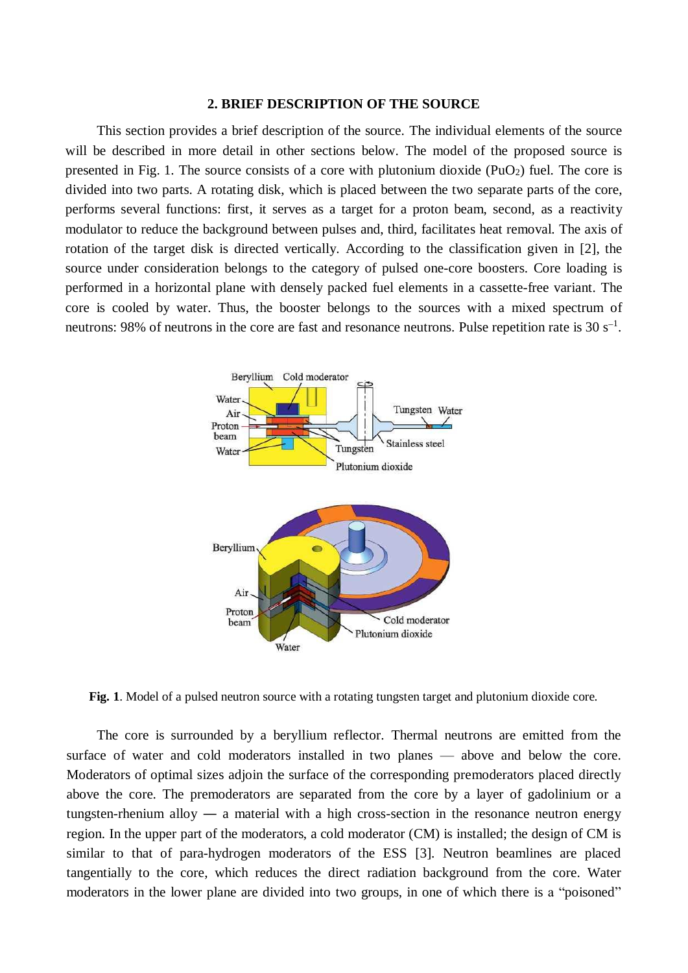#### **2. BRIEF DESCRIPTION OF THE SOURCE**

This section provides a brief description of the source. The individual elements of the source will be described in more detail in other sections below. The model of the proposed source is presented in Fig. 1. The source consists of a core with plutonium dioxide  $(PuO<sub>2</sub>)$  fuel. The core is divided into two parts. A rotating disk, which is placed between the two separate parts of the core, performs several functions: first, it serves as a target for a proton beam, second, as a reactivity modulator to reduce the background between pulses and, third, facilitates heat removal. The axis of rotation of the target disk is directed vertically. According to the classification given in [2], the source under consideration belongs to the category of pulsed one-core boosters. Core loading is performed in a horizontal plane with densely packed fuel elements in a cassette-free variant. The core is cooled by water. Thus, the booster belongs to the sources with a mixed spectrum of neutrons: 98% of neutrons in the core are fast and resonance neutrons. Pulse repetition rate is 30 s<sup>-1</sup>.



**Fig. 1**. Model of a pulsed neutron source with a rotating tungsten target and plutonium dioxide core.

The core is surrounded by a beryllium reflector. Thermal neutrons are emitted from the surface of water and cold moderators installed in two planes — above and below the core. Moderators of optimal sizes adjoin the surface of the corresponding premoderators placed directly above the core. The premoderators are separated from the core by a layer of gadolinium or a tungsten-rhenium alloy ― a material with a high cross-section in the resonance neutron energy region. In the upper part of the moderators, a cold moderator (CM) is installed; the design of CM is similar to that of para-hydrogen moderators of the ESS [3]. Neutron beamlines are placed tangentially to the core, which reduces the direct radiation background from the core. Water moderators in the lower plane are divided into two groups, in one of which there is a "poisoned"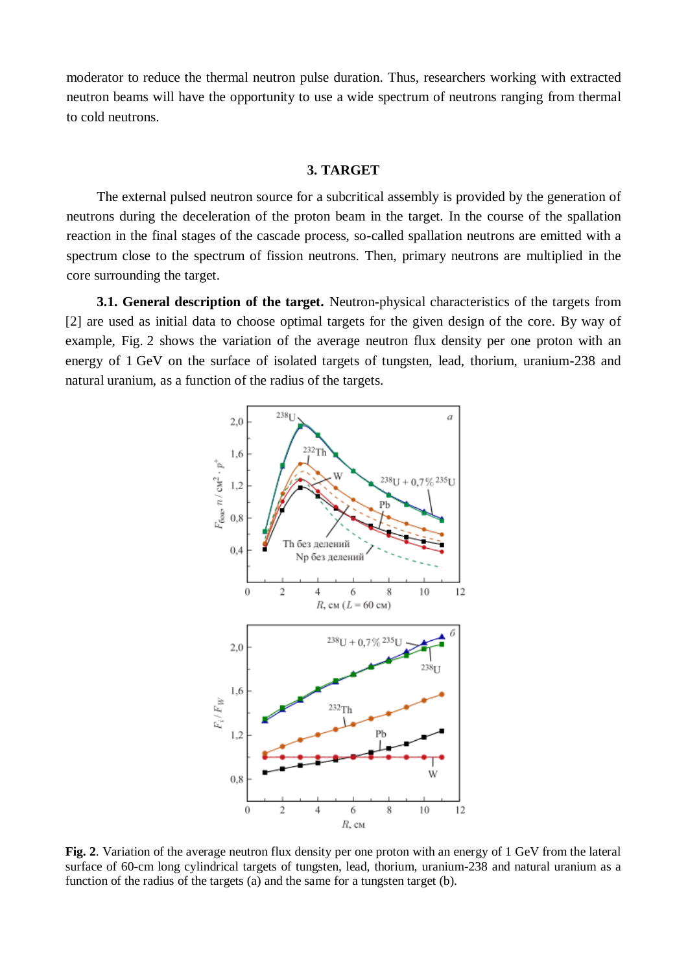moderator to reduce the thermal neutron pulse duration. Thus, researchers working with extracted neutron beams will have the opportunity to use a wide spectrum of neutrons ranging from thermal to cold neutrons.

# **3. TARGET**

The external pulsed neutron source for a subcritical assembly is provided by the generation of neutrons during the deceleration of the proton beam in the target. In the course of the spallation reaction in the final stages of the cascade process, so-called spallation neutrons are emitted with a spectrum close to the spectrum of fission neutrons. Then, primary neutrons are multiplied in the core surrounding the target.

**3.1. General description of the target.** Neutron-physical characteristics of the targets from [2] are used as initial data to choose optimal targets for the given design of the core. By way of example, Fig. 2 shows the variation of the average neutron flux density per one proton with an energy of 1 GeV on the surface of isolated targets of tungsten, lead, thorium, uranium-238 and natural uranium, as a function of the radius of the targets.



**Fig. 2**. Variation of the average neutron flux density per one proton with an energy of 1 GeV from the lateral surface of 60-cm long cylindrical targets of tungsten, lead, thorium, uranium-238 and natural uranium as a function of the radius of the targets (a) and the same for a tungsten target (b).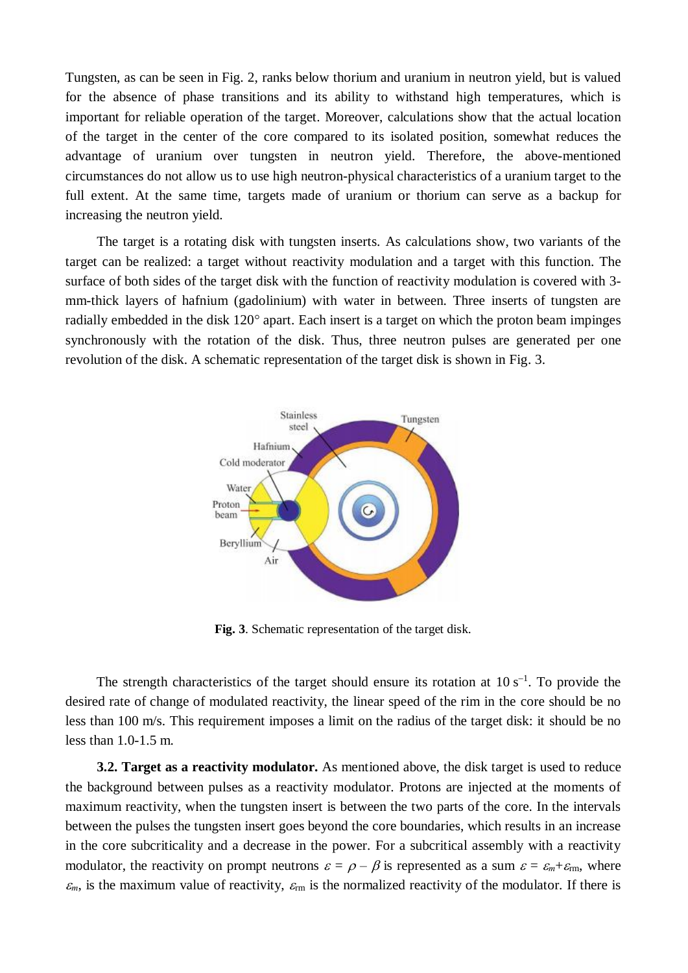Tungsten, as can be seen in Fig. 2, ranks below thorium and uranium in neutron yield, but is valued for the absence of phase transitions and its ability to withstand high temperatures, which is important for reliable operation of the target. Moreover, calculations show that the actual location of the target in the center of the core compared to its isolated position, somewhat reduces the advantage of uranium over tungsten in neutron yield. Therefore, the above-mentioned circumstances do not allow us to use high neutron-physical characteristics of a uranium target to the full extent. At the same time, targets made of uranium or thorium can serve as a backup for increasing the neutron yield.

The target is a rotating disk with tungsten inserts. As calculations show, two variants of the target can be realized: a target without reactivity modulation and a target with this function. The surface of both sides of the target disk with the function of reactivity modulation is covered with 3 mm-thick layers of hafnium (gadolinium) with water in between. Three inserts of tungsten are radially embedded in the disk 120° apart. Each insert is a target on which the proton beam impinges synchronously with the rotation of the disk. Thus, three neutron pulses are generated per one revolution of the disk. A schematic representation of the target disk is shown in Fig. 3.



**Fig. 3**. Schematic representation of the target disk.

The strength characteristics of the target should ensure its rotation at  $10 s<sup>-1</sup>$ . To provide the desired rate of change of modulated reactivity, the linear speed of the rim in the core should be no less than 100 m/s. This requirement imposes a limit on the radius of the target disk: it should be no less than 1.0-1.5 m.

**3.2. Target as a reactivity modulator.** As mentioned above, the disk target is used to reduce the background between pulses as a reactivity modulator. Protons are injected at the moments of maximum reactivity, when the tungsten insert is between the two parts of the core. In the intervals between the pulses the tungsten insert goes beyond the core boundaries, which results in an increase in the core subcriticality and a decrease in the power. For a subcritical assembly with a reactivity modulator, the reactivity on prompt neutrons  $\varepsilon = \rho - \beta$  is represented as a sum  $\varepsilon = \varepsilon_m + \varepsilon_{\text{rm}}$ , where  $\varepsilon_m$ , is the maximum value of reactivity,  $\varepsilon_m$  is the normalized reactivity of the modulator. If there is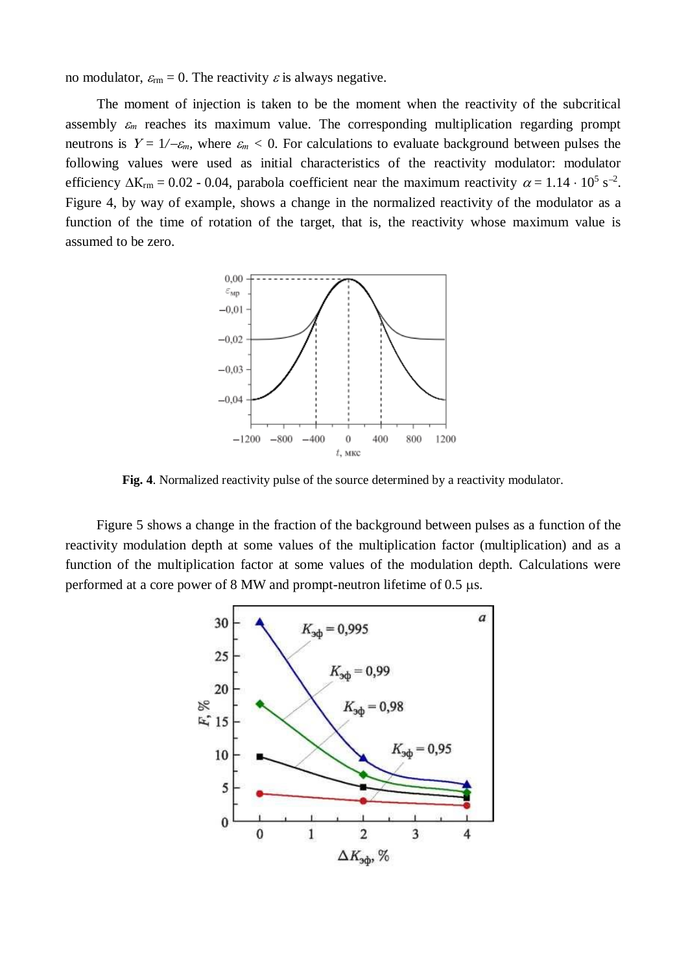no modulator,  $\varepsilon_{\rm rm} = 0$ . The reactivity  $\varepsilon$  is always negative.

The moment of injection is taken to be the moment when the reactivity of the subcritical assembly  $\varepsilon_m$  reaches its maximum value. The corresponding multiplication regarding prompt neutrons is  $Y = 1/-\epsilon_m$ , where  $\epsilon_m < 0$ . For calculations to evaluate background between pulses the following values were used as initial characteristics of the reactivity modulator: modulator efficiency  $\Delta K_{rm} = 0.02$  - 0.04, parabola coefficient near the maximum reactivity  $\alpha = 1.14 \cdot 10^5$  s<sup>-2</sup>. Figure 4, by way of example, shows a change in the normalized reactivity of the modulator as a function of the time of rotation of the target, that is, the reactivity whose maximum value is assumed to be zero.



**Fig. 4**. Normalized reactivity pulse of the source determined by a reactivity modulator.

Figure 5 shows a change in the fraction of the background between pulses as a function of the reactivity modulation depth at some values of the multiplication factor (multiplication) and as a function of the multiplication factor at some values of the modulation depth. Calculations were performed at a core power of 8 MW and prompt-neutron lifetime of 0.5  $\mu$ s.

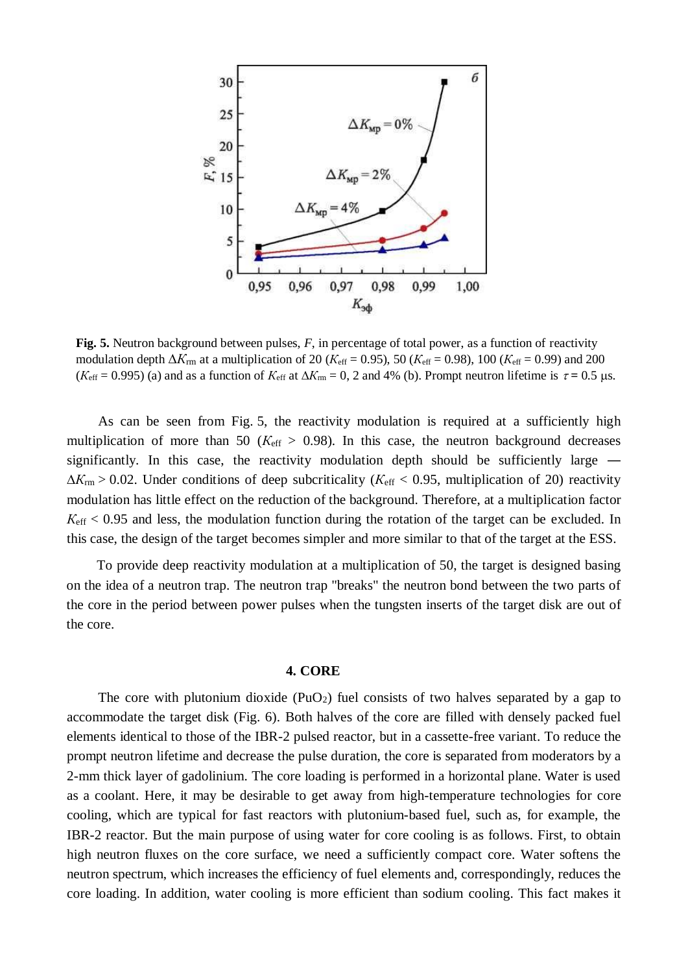

**Fig. 5.** Neutron background between pulses, *F*, in percentage of total power, as a function of reactivity modulation depth  $\Delta K_{\text{rm}}$  at a multiplication of 20 ( $K_{\text{eff}}$  = 0.95), 50 ( $K_{\text{eff}}$  = 0.98), 100 ( $K_{\text{eff}}$  = 0.99) and 200  $(K_{\text{eff}} = 0.995)$  (a) and as a function of  $K_{\text{eff}}$  at  $\Delta K_{\text{rm}} = 0$ , 2 and 4% (b). Prompt neutron lifetime is  $\tau = 0.5$  µs.

As can be seen from Fig. 5, the reactivity modulation is required at a sufficiently high multiplication of more than 50 ( $K_{\text{eff}} > 0.98$ ). In this case, the neutron background decreases significantly. In this case, the reactivity modulation depth should be sufficiently large ―  $\Delta K_{\rm rm} > 0.02$ . Under conditions of deep subcriticality ( $K_{\rm eff} < 0.95$ , multiplication of 20) reactivity modulation has little effect on the reduction of the background. Therefore, at a multiplication factor *К*eff < 0.95 and less, the modulation function during the rotation of the target can be excluded. In this case, the design of the target becomes simpler and more similar to that of the target at the ESS.

To provide deep reactivity modulation at a multiplication of 50, the target is designed basing on the idea of a neutron trap. The neutron trap "breaks" the neutron bond between the two parts of the core in the period between power pulses when the tungsten inserts of the target disk are out of the core.

#### **4. CORE**

The core with plutonium dioxide  $(PuO_2)$  fuel consists of two halves separated by a gap to accommodate the target disk (Fig. 6). Both halves of the core are filled with densely packed fuel elements identical to those of the IBR-2 pulsed reactor, but in a cassette-free variant. To reduce the prompt neutron lifetime and decrease the pulse duration, the core is separated from moderators by a 2-mm thick layer of gadolinium. The core loading is performed in a horizontal plane. Water is used as a coolant. Here, it may be desirable to get away from high-temperature technologies for core cooling, which are typical for fast reactors with plutonium-based fuel, such as, for example, the IBR-2 reactor. But the main purpose of using water for core cooling is as follows. First, to obtain high neutron fluxes on the core surface, we need a sufficiently compact core. Water softens the neutron spectrum, which increases the efficiency of fuel elements and, correspondingly, reduces the core loading. In addition, water cooling is more efficient than sodium cooling. This fact makes it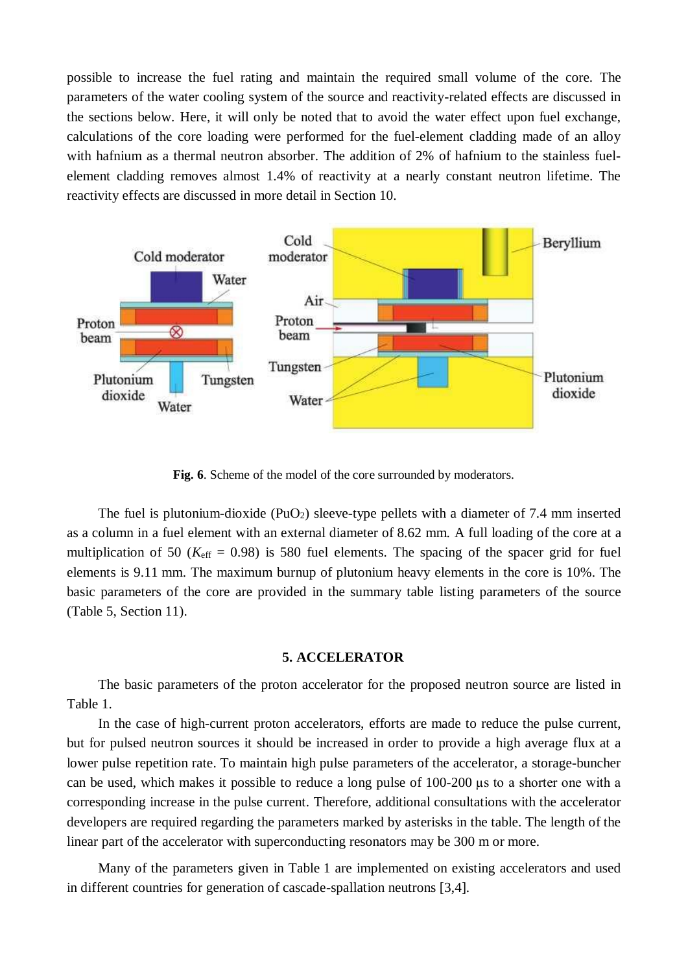possible to increase the fuel rating and maintain the required small volume of the core. The parameters of the water cooling system of the source and reactivity-related effects are discussed in the sections below. Here, it will only be noted that to avoid the water effect upon fuel exchange, calculations of the core loading were performed for the fuel-element cladding made of an alloy with hafnium as a thermal neutron absorber. The addition of 2% of hafnium to the stainless fuelelement cladding removes almost 1.4% of reactivity at a nearly constant neutron lifetime. The reactivity effects are discussed in more detail in Section 10.



**Fig. 6**. Scheme of the model of the core surrounded by moderators.

The fuel is plutonium-dioxide  $(PuO<sub>2</sub>)$  sleeve-type pellets with a diameter of 7.4 mm inserted as a column in a fuel element with an external diameter of 8.62 mm. A full loading of the core at a multiplication of 50 ( $K_{\text{eff}}$  = 0.98) is 580 fuel elements. The spacing of the spacer grid for fuel elements is 9.11 mm. The maximum burnup of plutonium heavy elements in the core is 10%. The basic parameters of the core are provided in the summary table listing parameters of the source (Table 5, Section 11).

#### **5. ACCELERATOR**

The basic parameters of the proton accelerator for the proposed neutron source are listed in Table 1.

In the case of high-current proton accelerators, efforts are made to reduce the pulse current, but for pulsed neutron sources it should be increased in order to provide a high average flux at a lower pulse repetition rate. To maintain high pulse parameters of the accelerator, a storage-buncher can be used, which makes it possible to reduce a long pulse of 100-200 µs to a shorter one with a corresponding increase in the pulse current. Therefore, additional consultations with the accelerator developers are required regarding the parameters marked by asterisks in the table. The length of the linear part of the accelerator with superconducting resonators may be 300 m or more.

Many of the parameters given in Table 1 are implemented on existing accelerators and used in different countries for generation of cascade-spallation neutrons [3,4].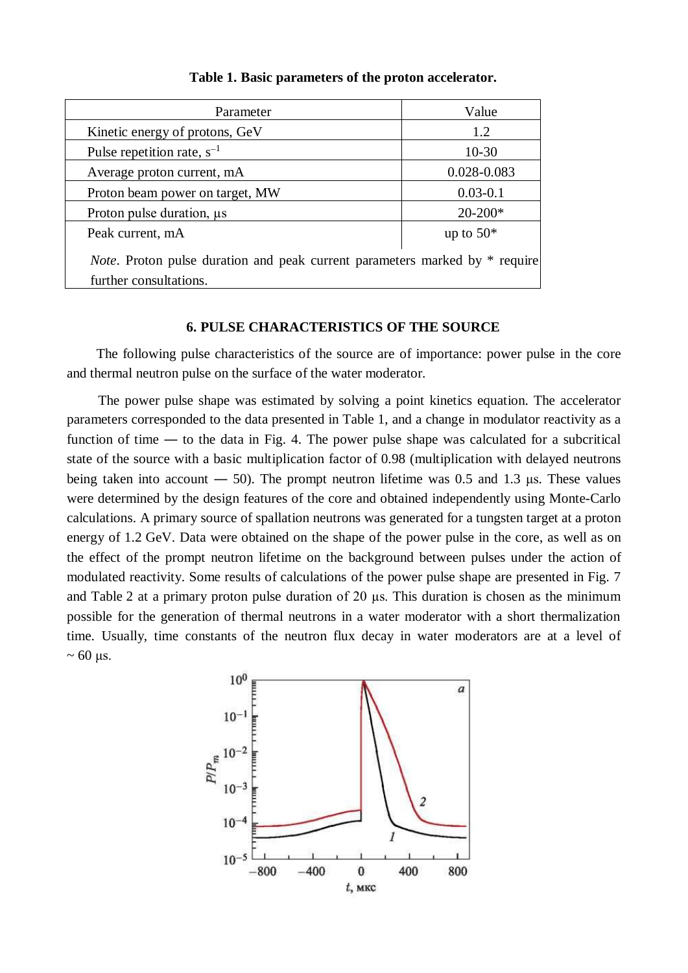| Parameter                                                                                                     | Value        |  |  |
|---------------------------------------------------------------------------------------------------------------|--------------|--|--|
| Kinetic energy of protons, GeV                                                                                | 1.2          |  |  |
| Pulse repetition rate, $s^{-1}$                                                                               | $10-30$      |  |  |
| Average proton current, mA                                                                                    | 0.028-0.083  |  |  |
| Proton beam power on target, MW                                                                               | $0.03 - 0.1$ |  |  |
| Proton pulse duration, $\mu s$                                                                                | $20-200*$    |  |  |
| Peak current, mA                                                                                              | up to $50*$  |  |  |
| <i>Note</i> . Proton pulse duration and peak current parameters marked by * require<br>further consultations. |              |  |  |

**Table 1. Basic parameters of the proton accelerator.**

### **6. PULSE CHARACTERISTICS OF THE SOURCE**

The following pulse characteristics of the source are of importance: power pulse in the core and thermal neutron pulse on the surface of the water moderator.

The power pulse shape was estimated by solving a point kinetics equation. The accelerator parameters corresponded to the data presented in Table 1, and a change in modulator reactivity as a function of time — to the data in Fig. 4. The power pulse shape was calculated for a subcritical state of the source with a basic multiplication factor of 0.98 (multiplication with delayed neutrons being taken into account — 50). The prompt neutron lifetime was 0.5 and 1.3 μs. These values were determined by the design features of the core and obtained independently using Monte-Carlo calculations. A primary source of spallation neutrons was generated for a tungsten target at a proton energy of 1.2 GeV. Data were obtained on the shape of the power pulse in the core, as well as on the effect of the prompt neutron lifetime on the background between pulses under the action of modulated reactivity. Some results of calculations of the power pulse shape are presented in Fig. 7 and Table 2 at a primary proton pulse duration of 20 µs. This duration is chosen as the minimum possible for the generation of thermal neutrons in a water moderator with a short thermalization time. Usually, time constants of the neutron flux decay in water moderators are at a level of  $\sim 60$  μs.

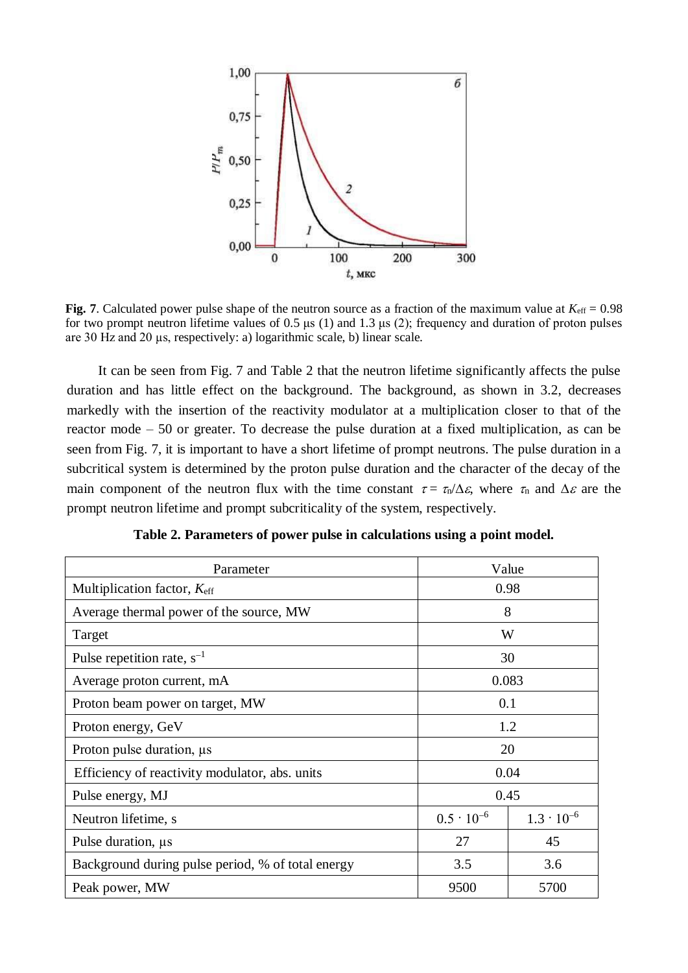

**Fig. 7**. Calculated power pulse shape of the neutron source as a fraction of the maximum value at  $K_{\text{eff}} = 0.98$ for two prompt neutron lifetime values of  $0.5 \mu s$  (1) and  $1.3 \mu s$  (2); frequency and duration of proton pulses are 30 Hz and 20 µs, respectively: a) logarithmic scale, b) linear scale.

It can be seen from Fig. 7 and Table 2 that the neutron lifetime significantly affects the pulse duration and has little effect on the background. The background, as shown in 3.2, decreases markedly with the insertion of the reactivity modulator at a multiplication closer to that of the reactor mode – 50 or greater. To decrease the pulse duration at a fixed multiplication, as can be seen from Fig. 7, it is important to have a short lifetime of prompt neutrons. The pulse duration in a subcritical system is determined by the proton pulse duration and the character of the decay of the main component of the neutron flux with the time constant  $\tau = \tau_n / \Delta \varepsilon$ , where  $\tau_n$  and  $\Delta \varepsilon$  are the prompt neutron lifetime and prompt subcriticality of the system, respectively.

| Parameter                                         | Value               |                     |  |
|---------------------------------------------------|---------------------|---------------------|--|
| Multiplication factor, Keff                       | 0.98                |                     |  |
| Average thermal power of the source, MW           | 8                   |                     |  |
| Target                                            | W                   |                     |  |
| Pulse repetition rate, $s^{-1}$                   | 30                  |                     |  |
| Average proton current, mA                        | 0.083               |                     |  |
| Proton beam power on target, MW                   | 0.1                 |                     |  |
| Proton energy, GeV                                | 1.2                 |                     |  |
| Proton pulse duration, $\mu s$                    | 20                  |                     |  |
| Efficiency of reactivity modulator, abs. units    | 0.04                |                     |  |
| Pulse energy, MJ                                  | 0.45                |                     |  |
| Neutron lifetime, s                               | $0.5 \cdot 10^{-6}$ | $1.3 \cdot 10^{-6}$ |  |
| Pulse duration, $\mu s$                           | 27                  | 45                  |  |
| Background during pulse period, % of total energy | 3.5                 | 3.6                 |  |
| Peak power, MW                                    | 9500<br>5700        |                     |  |

**Table 2. Parameters of power pulse in calculations using a point model.**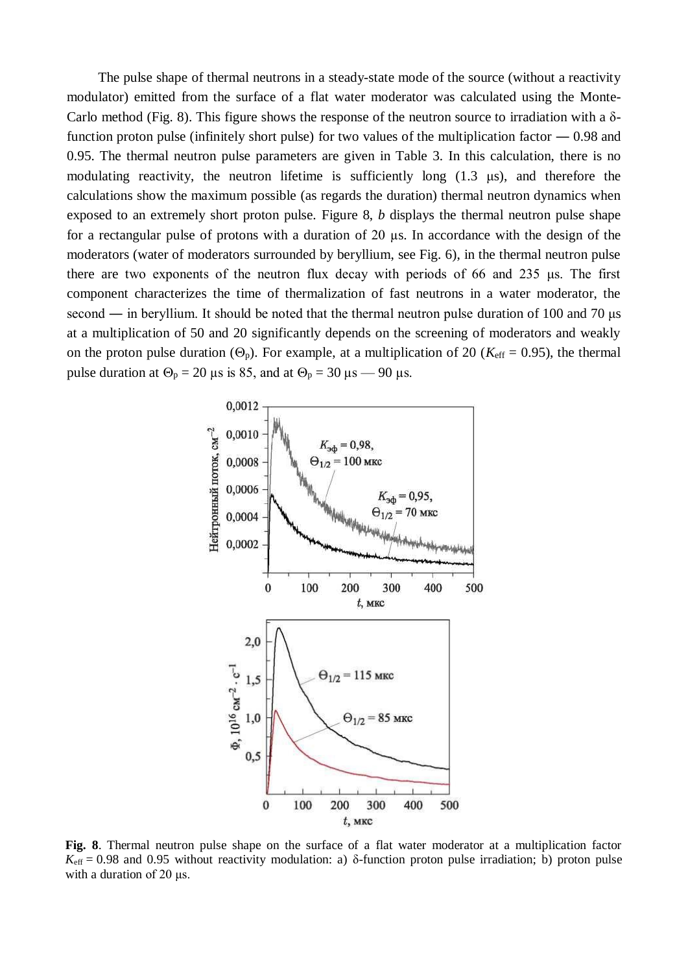The pulse shape of thermal neutrons in a steady-state mode of the source (without a reactivity modulator) emitted from the surface of a flat water moderator was calculated using the Monte-Carlo method (Fig. 8). This figure shows the response of the neutron source to irradiation with a  $\delta$ function proton pulse (infinitely short pulse) for two values of the multiplication factor  $-0.98$  and 0.95. The thermal neutron pulse parameters are given in Table 3. In this calculation, there is no modulating reactivity, the neutron lifetime is sufficiently long (1.3 μs), and therefore the calculations show the maximum possible (as regards the duration) thermal neutron dynamics when exposed to an extremely short proton pulse. Figure 8, *b* displays the thermal neutron pulse shape for a rectangular pulse of protons with a duration of 20 µs. In accordance with the design of the moderators (water of moderators surrounded by beryllium, see Fig. 6), in the thermal neutron pulse there are two exponents of the neutron flux decay with periods of 66 and 235 μs. The first component characterizes the time of thermalization of fast neutrons in a water moderator, the second ― in beryllium. It should be noted that the thermal neutron pulse duration of 100 and 70 μs at a multiplication of 50 and 20 significantly depends on the screening of moderators and weakly on the proton pulse duration ( $\Theta_p$ ). For example, at a multiplication of 20 ( $K_{\text{eff}} = 0.95$ ), the thermal pulse duration at  $\Theta_p = 20 \text{ }\mu\text{s}$  is 85, and at  $\Theta_p = 30 \text{ }\mu\text{s} - 90 \text{ }\mu\text{s}$ .



**Fig. 8**. Thermal neutron pulse shape on the surface of a flat water moderator at a multiplication factor  $K_{\text{eff}} = 0.98$  and 0.95 without reactivity modulation: a) δ-function proton pulse irradiation; b) proton pulse with a duration of 20 μs.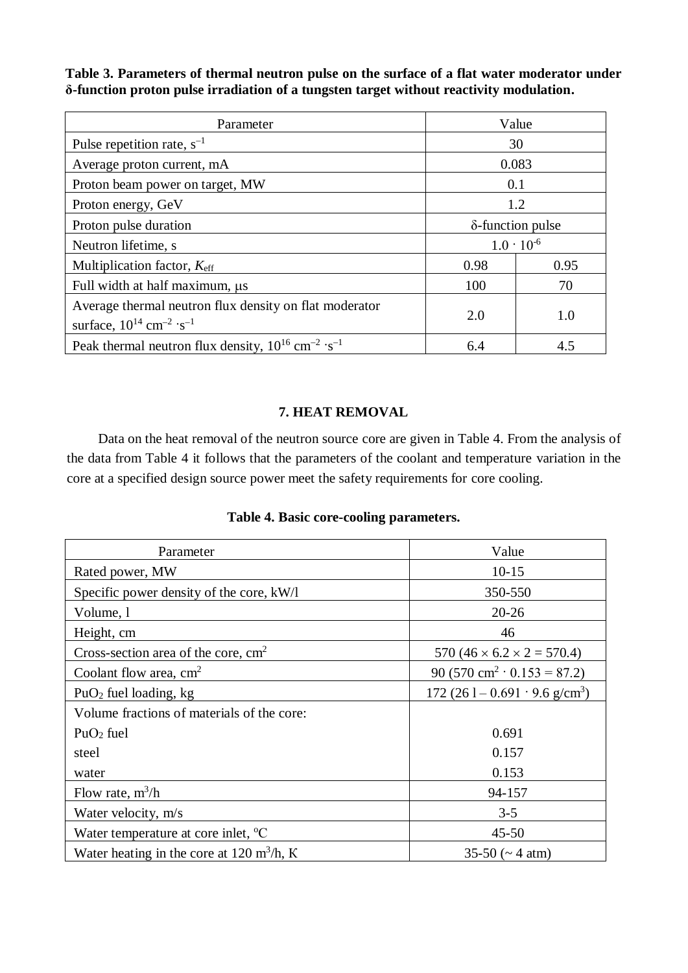**Table 3. Parameters of thermal neutron pulse on the surface of a flat water moderator under δ-function proton pulse irradiation of a tungsten target without reactivity modulation.** 

| Parameter                                                                                                      | Value               |      |  |
|----------------------------------------------------------------------------------------------------------------|---------------------|------|--|
| Pulse repetition rate, $s^{-1}$                                                                                | 30                  |      |  |
| Average proton current, mA                                                                                     | 0.083               |      |  |
| Proton beam power on target, MW                                                                                | 0.1                 |      |  |
| Proton energy, GeV                                                                                             | 1.2                 |      |  |
| Proton pulse duration                                                                                          | δ-function pulse    |      |  |
| Neutron lifetime, s                                                                                            | $1.0 \cdot 10^{-6}$ |      |  |
| Multiplication factor, K <sub>eff</sub>                                                                        | 0.98                | 0.95 |  |
| Full width at half maximum, $\mu s$                                                                            | 100                 | 70   |  |
| Average thermal neutron flux density on flat moderator<br>surface, $10^{14}$ cm <sup>-2</sup> ·s <sup>-1</sup> | 2.0                 | 1.0  |  |
| Peak thermal neutron flux density, $10^{16}$ cm <sup>-2</sup> ·s <sup>-1</sup>                                 | 6.4                 | 4.5  |  |

# **7. HEAT REMOVAL**

Data on the heat removal of the neutron source core are given in Table 4. From the analysis of the data from Table 4 it follows that the parameters of the coolant and temperature variation in the core at a specified design source power meet the safety requirements for core cooling.

| Parameter                                             | Value                                       |
|-------------------------------------------------------|---------------------------------------------|
| Rated power, MW                                       | $10 - 15$                                   |
| Specific power density of the core, kW/l              | 350-550                                     |
| Volume, 1                                             | $20 - 26$                                   |
| Height, cm                                            | 46                                          |
| Cross-section area of the core, $cm2$                 | 570 (46 $\times$ 6.2 $\times$ 2 = 570.4)    |
| Coolant flow area, $cm2$                              | 90 (570 cm <sup>2</sup> · 0.153 = 87.2)     |
| PuO <sub>2</sub> fuel loading, $kg$                   | 172 (26 l – 0.691 · 9.6 g/cm <sup>3</sup> ) |
| Volume fractions of materials of the core:            |                                             |
| $PuO2$ fuel                                           | 0.691                                       |
| steel                                                 | 0.157                                       |
| water                                                 | 0.153                                       |
| Flow rate, $m^3/h$                                    | 94-157                                      |
| Water velocity, m/s                                   | $3 - 5$                                     |
| Water temperature at core inlet, $^{\circ}C$          | $45 - 50$                                   |
| Water heating in the core at 120 m <sup>3</sup> /h, K | $35-50$ ( $\sim$ 4 atm)                     |

# **Table 4. Basic core-cooling parameters.**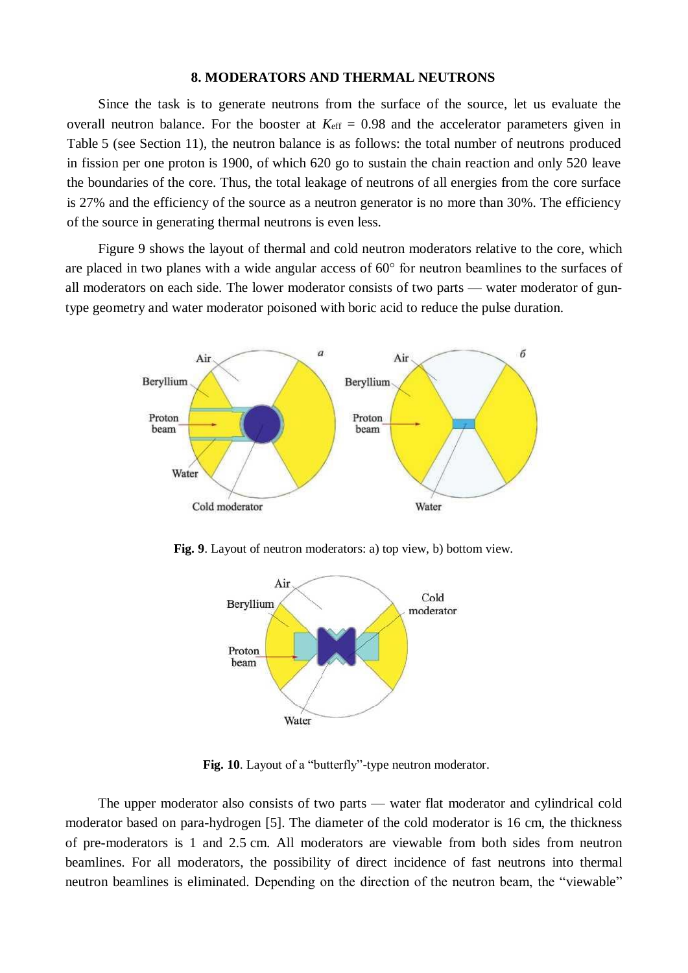#### **8. MODERATORS AND THERMAL NEUTRONS**

Since the task is to generate neutrons from the surface of the source, let us evaluate the overall neutron balance. For the booster at  $K_{\text{eff}} = 0.98$  and the accelerator parameters given in Table 5 (see Section 11), the neutron balance is as follows: the total number of neutrons produced in fission per one proton is 1900, of which 620 go to sustain the chain reaction and only 520 leave the boundaries of the core. Thus, the total leakage of neutrons of all energies from the core surface is 27% and the efficiency of the source as a neutron generator is no more than 30%. The efficiency of the source in generating thermal neutrons is even less.

Figure 9 shows the layout of thermal and cold neutron moderators relative to the core, which are placed in two planes with a wide angular access of 60° for neutron beamlines to the surfaces of all moderators on each side. The lower moderator consists of two parts — water moderator of guntype geometry and water moderator poisoned with boric acid to reduce the pulse duration.



**Fig. 9**. Layout of neutron moderators: a) top view, b) bottom view.



**Fig. 10**. Layout of a "butterfly"-type neutron moderator.

The upper moderator also consists of two parts — water flat moderator and cylindrical cold moderator based on para-hydrogen [5]. The diameter of the cold moderator is 16 cm, the thickness of pre-moderators is 1 and 2.5 cm. All moderators are viewable from both sides from neutron beamlines. For all moderators, the possibility of direct incidence of fast neutrons into thermal neutron beamlines is eliminated. Depending on the direction of the neutron beam, the "viewable"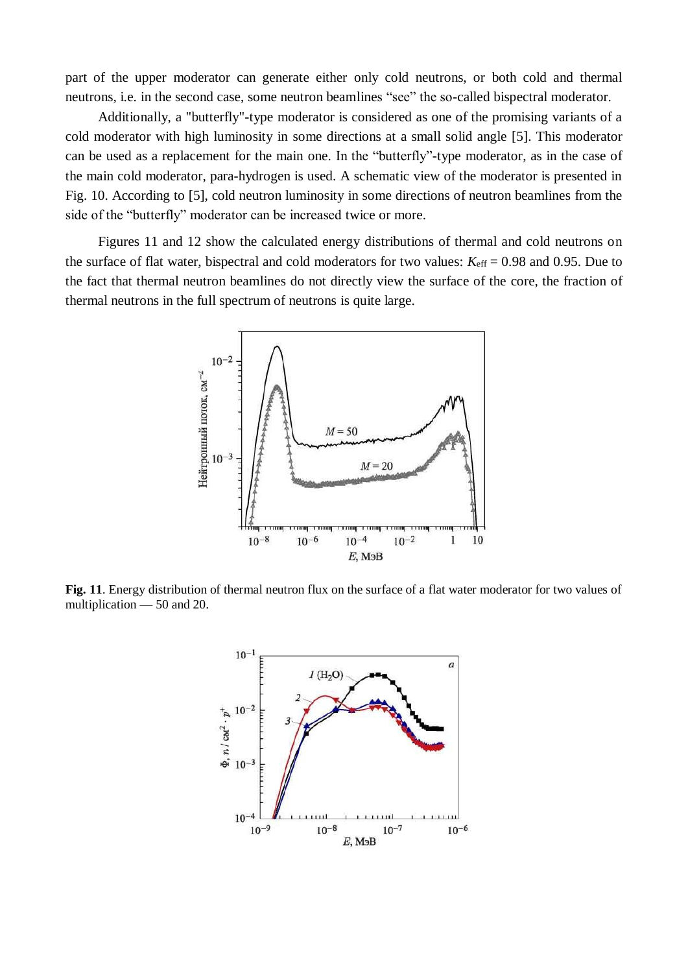part of the upper moderator can generate either only cold neutrons, or both cold and thermal neutrons, i.e. in the second case, some neutron beamlines "see" the so-called bispectral moderator.

Additionally, a "butterfly"-type moderator is considered as one of the promising variants of a cold moderator with high luminosity in some directions at a small solid angle [5]. This moderator can be used as a replacement for the main one. In the "butterfly"-type moderator, as in the case of the main cold moderator, para-hydrogen is used. A schematic view of the moderator is presented in Fig. 10. According to [5], cold neutron luminosity in some directions of neutron beamlines from the side of the "butterfly" moderator can be increased twice or more.

Figures 11 and 12 show the calculated energy distributions of thermal and cold neutrons on the surface of flat water, bispectral and cold moderators for two values:  $K_{\text{eff}} = 0.98$  and 0.95. Due to the fact that thermal neutron beamlines do not directly view the surface of the core, the fraction of thermal neutrons in the full spectrum of neutrons is quite large.



**Fig. 11**. Energy distribution of thermal neutron flux on the surface of a flat water moderator for two values of multiplication — 50 and 20.

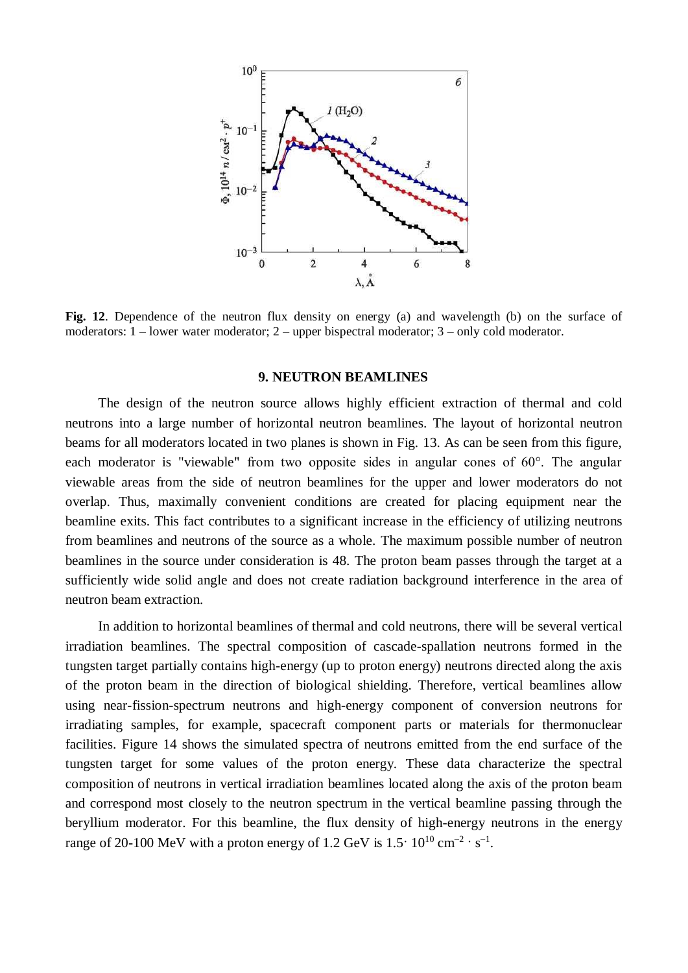

Fig. 12. Dependence of the neutron flux density on energy (a) and wavelength (b) on the surface of moderators: 1 – lower water moderator; 2 – upper bispectral moderator; 3 – only cold moderator.

#### **9. NEUTRON BEAMLINES**

The design of the neutron source allows highly efficient extraction of thermal and cold neutrons into a large number of horizontal neutron beamlines. The layout of horizontal neutron beams for all moderators located in two planes is shown in Fig. 13. As can be seen from this figure, each moderator is "viewable" from two opposite sides in angular cones of 60°. The angular viewable areas from the side of neutron beamlines for the upper and lower moderators do not overlap. Thus, maximally convenient conditions are created for placing equipment near the beamline exits. This fact contributes to a significant increase in the efficiency of utilizing neutrons from beamlines and neutrons of the source as a whole. The maximum possible number of neutron beamlines in the source under consideration is 48. The proton beam passes through the target at a sufficiently wide solid angle and does not create radiation background interference in the area of neutron beam extraction.

In addition to horizontal beamlines of thermal and cold neutrons, there will be several vertical irradiation beamlines. The spectral composition of cascade-spallation neutrons formed in the tungsten target partially contains high-energy (up to proton energy) neutrons directed along the axis of the proton beam in the direction of biological shielding. Therefore, vertical beamlines allow using near-fission-spectrum neutrons and high-energy component of conversion neutrons for irradiating samples, for example, spacecraft component parts or materials for thermonuclear facilities. Figure 14 shows the simulated spectra of neutrons emitted from the end surface of the tungsten target for some values of the proton energy. These data characterize the spectral composition of neutrons in vertical irradiation beamlines located along the axis of the proton beam and correspond most closely to the neutron spectrum in the vertical beamline passing through the beryllium moderator. For this beamline, the flux density of high-energy neutrons in the energy range of 20-100 MeV with a proton energy of 1.2 GeV is  $1.5 \cdot 10^{10}$  cm<sup>-2</sup> · s<sup>-1</sup>.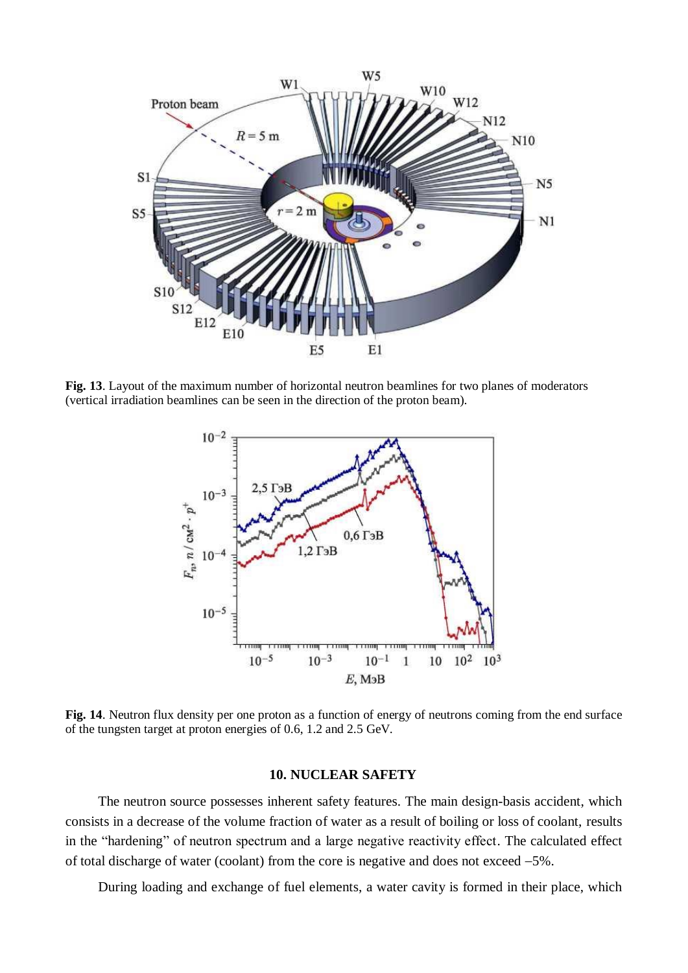

**Fig. 13**. Layout of the maximum number of horizontal neutron beamlines for two planes of moderators (vertical irradiation beamlines can be seen in the direction of the proton beam).



**Fig. 14**. Neutron flux density per one proton as a function of energy of neutrons coming from the end surface of the tungsten target at proton energies of 0.6, 1.2 and 2.5 GeV.

# **10. NUCLEAR SAFETY**

The neutron source possesses inherent safety features. The main design-basis accident, which consists in a decrease of the volume fraction of water as a result of boiling or loss of coolant, results in the "hardening" of neutron spectrum and a large negative reactivity effect. The calculated effect of total discharge of water (coolant) from the core is negative and does not exceed −5%.

During loading and exchange of fuel elements, a water cavity is formed in their place, which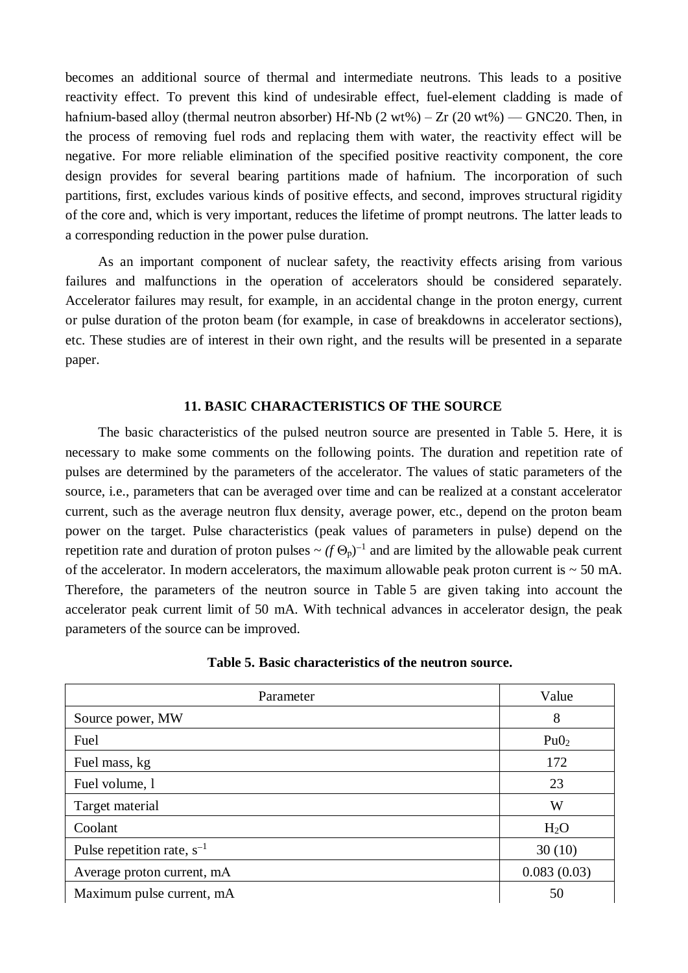becomes an additional source of thermal and intermediate neutrons. This leads to a positive reactivity effect. To prevent this kind of undesirable effect, fuel-element cladding is made of hafnium-based alloy (thermal neutron absorber) Hf-Nb  $(2 wt\%) - Zr (20 wt\%) - GNC20$ . Then, in the process of removing fuel rods and replacing them with water, the reactivity effect will be negative. For more reliable elimination of the specified positive reactivity component, the core design provides for several bearing partitions made of hafnium. The incorporation of such partitions, first, excludes various kinds of positive effects, and second, improves structural rigidity of the core and, which is very important, reduces the lifetime of prompt neutrons. The latter leads to a corresponding reduction in the power pulse duration.

As an important component of nuclear safety, the reactivity effects arising from various failures and malfunctions in the operation of accelerators should be considered separately. Accelerator failures may result, for example, in an accidental change in the proton energy, current or pulse duration of the proton beam (for example, in case of breakdowns in accelerator sections), etc. These studies are of interest in their own right, and the results will be presented in a separate paper.

### **11. BASIC CHARACTERISTICS OF THE SOURCE**

The basic characteristics of the pulsed neutron source are presented in Table 5. Here, it is necessary to make some comments on the following points. The duration and repetition rate of pulses are determined by the parameters of the accelerator. The values of static parameters of the source, i.e., parameters that can be averaged over time and can be realized at a constant accelerator current, such as the average neutron flux density, average power, etc., depend on the proton beam power on the target. Pulse characteristics (peak values of parameters in pulse) depend on the repetition rate and duration of proton pulses  $\sim (f \Theta_p)^{-1}$  and are limited by the allowable peak current of the accelerator. In modern accelerators, the maximum allowable peak proton current is  $\sim$  50 mA. Therefore, the parameters of the neutron source in Table 5 are given taking into account the accelerator peak current limit of 50 mA. With technical advances in accelerator design, the peak parameters of the source can be improved.

| Parameter                       | Value            |
|---------------------------------|------------------|
| Source power, MW                | 8                |
| Fuel                            | Pu0 <sub>2</sub> |
| Fuel mass, kg                   | 172              |
| Fuel volume, 1                  | 23               |
| Target material                 | W                |
| Coolant                         | H <sub>2</sub> O |
| Pulse repetition rate, $s^{-1}$ | 30(10)           |
| Average proton current, mA      | 0.083(0.03)      |
| Maximum pulse current, mA       | 50               |

# **Table 5. Basic characteristics of the neutron source.**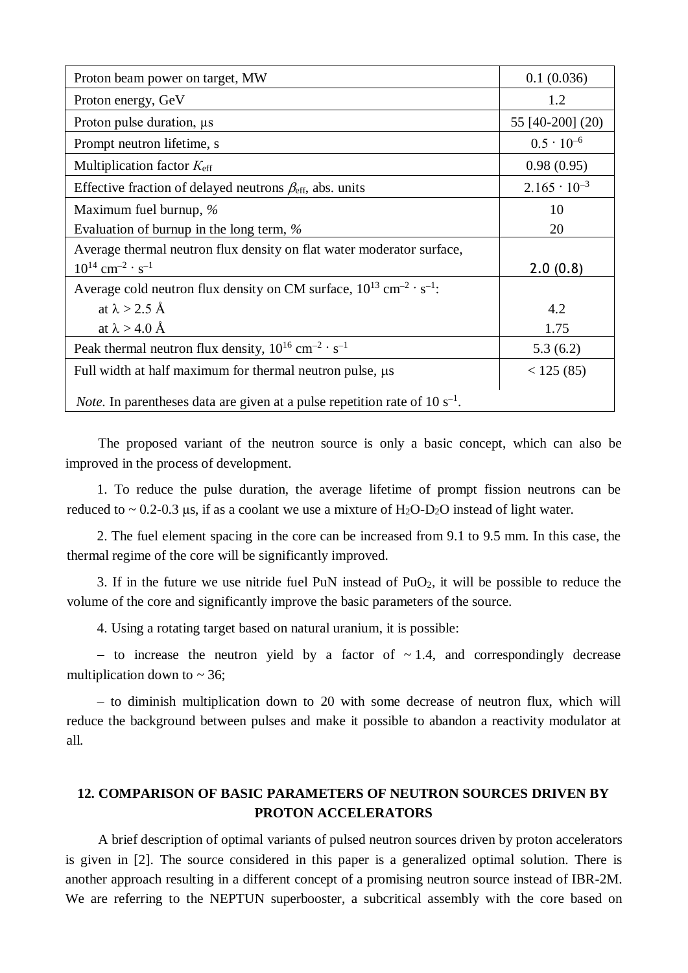| Proton beam power on target, MW                                                                 | 0.1(0.036)            |
|-------------------------------------------------------------------------------------------------|-----------------------|
| Proton energy, GeV                                                                              | 1.2                   |
| Proton pulse duration, $\mu s$                                                                  | 55 [40-200] (20)      |
| Prompt neutron lifetime, s                                                                      | $0.5 \cdot 10^{-6}$   |
| Multiplication factor $K_{\text{eff}}$                                                          | 0.98(0.95)            |
| Effective fraction of delayed neutrons $\beta_{\text{eff}}$ , abs. units                        | $2.165 \cdot 10^{-3}$ |
| Maximum fuel burnup, $\%$                                                                       | 10                    |
| Evaluation of burnup in the long term, $\%$                                                     | 20                    |
| Average thermal neutron flux density on flat water moderator surface,                           |                       |
| $10^{14}$ cm <sup>-2</sup> · s <sup>-1</sup>                                                    | 2.0(0.8)              |
| Average cold neutron flux density on CM surface, $10^{13}$ cm <sup>-2</sup> · s <sup>-1</sup> : |                       |
| at $\lambda > 2.5$ Å                                                                            | 4.2                   |
| at $\lambda > 4.0$ Å                                                                            | 1.75                  |
| Peak thermal neutron flux density, $10^{16}$ cm <sup>-2</sup> · s <sup>-1</sup>                 | 5.3(6.2)              |
| Full width at half maximum for thermal neutron pulse, $\mu s$                                   | < 125(85)             |
| <i>Note</i> . In parentheses data are given at a pulse repetition rate of $10 s^{-1}$ .         |                       |

The proposed variant of the neutron source is only a basic concept, which can also be improved in the process of development.

1. To reduce the pulse duration, the average lifetime of prompt fission neutrons can be reduced to  $\sim 0.2$ -0.3 μs, if as a coolant we use a mixture of H<sub>2</sub>O-D<sub>2</sub>O instead of light water.

2. The fuel element spacing in the core can be increased from 9.1 to 9.5 mm. In this case, the thermal regime of the core will be significantly improved.

3. If in the future we use nitride fuel PuN instead of  $PuO<sub>2</sub>$ , it will be possible to reduce the volume of the core and significantly improve the basic parameters of the source.

4. Using a rotating target based on natural uranium, it is possible:

− to increase the neutron yield by a factor of ~ 1.4, and correspondingly decrease multiplication down to  $\sim$  36;

− to diminish multiplication down to 20 with some decrease of neutron flux, which will reduce the background between pulses and make it possible to abandon a reactivity modulator at all.

# **12. COMPARISON OF BASIC PARAMETERS OF NEUTRON SOURCES DRIVEN BY PROTON ACCELERATORS**

A brief description of optimal variants of pulsed neutron sources driven by proton accelerators is given in [2]. The source considered in this paper is a generalized optimal solution. There is another approach resulting in a different concept of a promising neutron source instead of IBR-2M. We are referring to the NEPTUN superbooster, a subcritical assembly with the core based on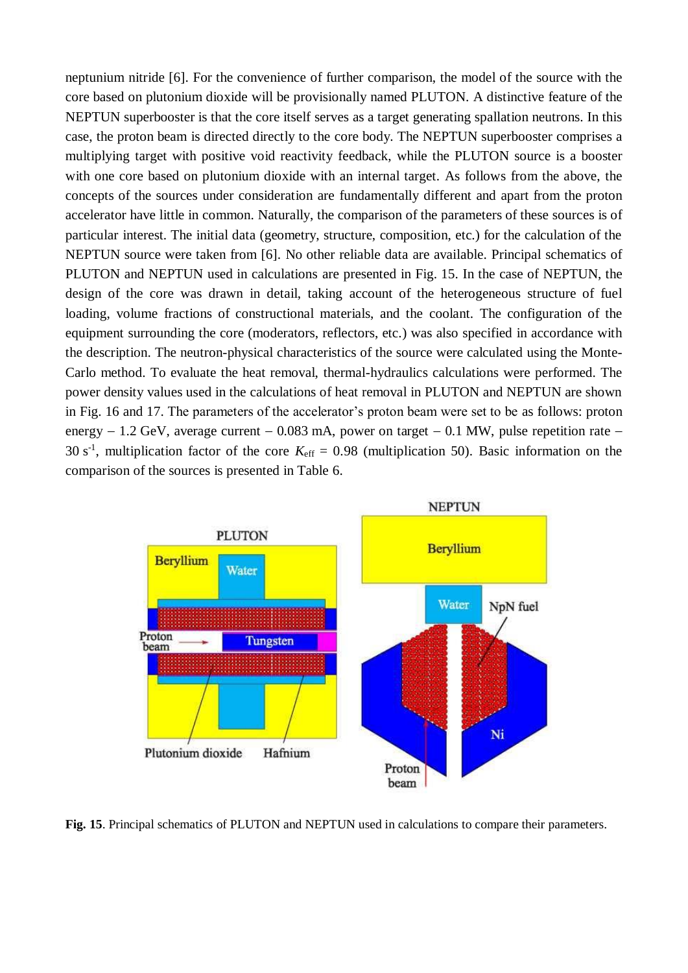neptunium nitride [6]. For the convenience of further comparison, the model of the source with the core based on plutonium dioxide will be provisionally named PLUTON. A distinctive feature of the NEPTUN superbooster is that the core itself serves as a target generating spallation neutrons. In this case, the proton beam is directed directly to the core body. The NEPTUN superbooster comprises a multiplying target with positive void reactivity feedback, while the PLUTON source is a booster with one core based on plutonium dioxide with an internal target. As follows from the above, the concepts of the sources under consideration are fundamentally different and apart from the proton accelerator have little in common. Naturally, the comparison of the parameters of these sources is of particular interest. The initial data (geometry, structure, composition, etc.) for the calculation of the NEPTUN source were taken from [6]. No other reliable data are available. Principal schematics of PLUTON and NEPTUN used in calculations are presented in Fig. 15. In the case of NEPTUN, the design of the core was drawn in detail, taking account of the heterogeneous structure of fuel loading, volume fractions of constructional materials, and the coolant. The configuration of the equipment surrounding the core (moderators, reflectors, etc.) was also specified in accordance with the description. The neutron-physical characteristics of the source were calculated using the Monte-Carlo method. To evaluate the heat removal, thermal-hydraulics calculations were performed. The power density values used in the calculations of heat removal in PLUTON and NEPTUN are shown in Fig. 16 and 17. The parameters of the accelerator's proton beam were set to be as follows: proton energy − 1.2 GeV, average current − 0.083 mA, power on target − 0.1 MW, pulse repetition rate − 30 s<sup>-1</sup>, multiplication factor of the core  $K_{\text{eff}} = 0.98$  (multiplication 50). Basic information on the comparison of the sources is presented in Table 6.



**Fig. 15**. Principal schematics of PLUTON and NEPTUN used in calculations to compare their parameters.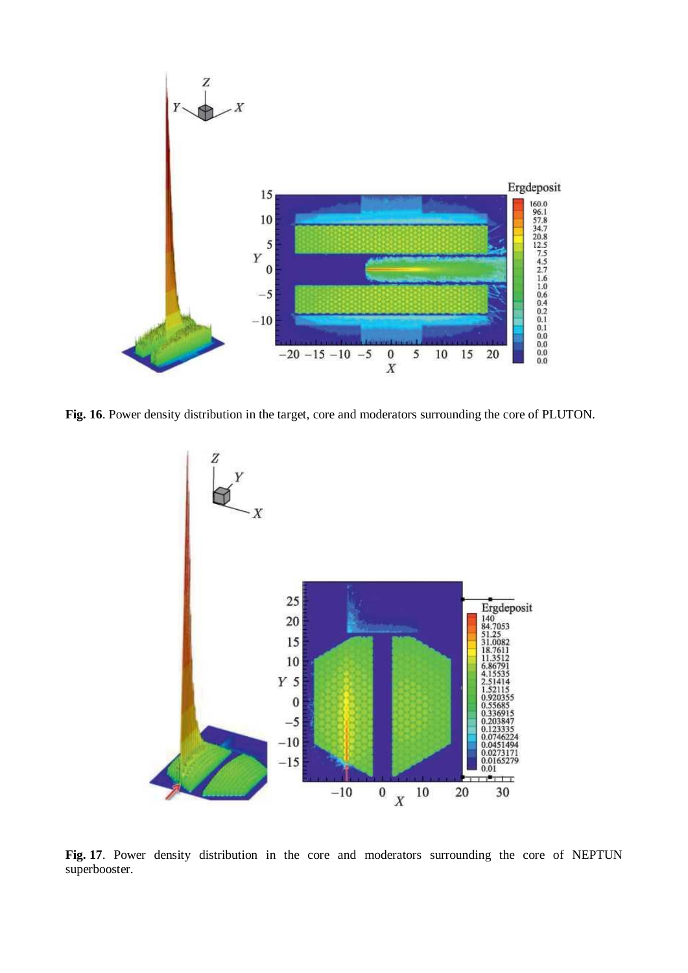

**Fig. 16**. Power density distribution in the target, core and moderators surrounding the core of PLUTON.



**Fig. 17**. Power density distribution in the core and moderators surrounding the core of NEPTUN superbooster.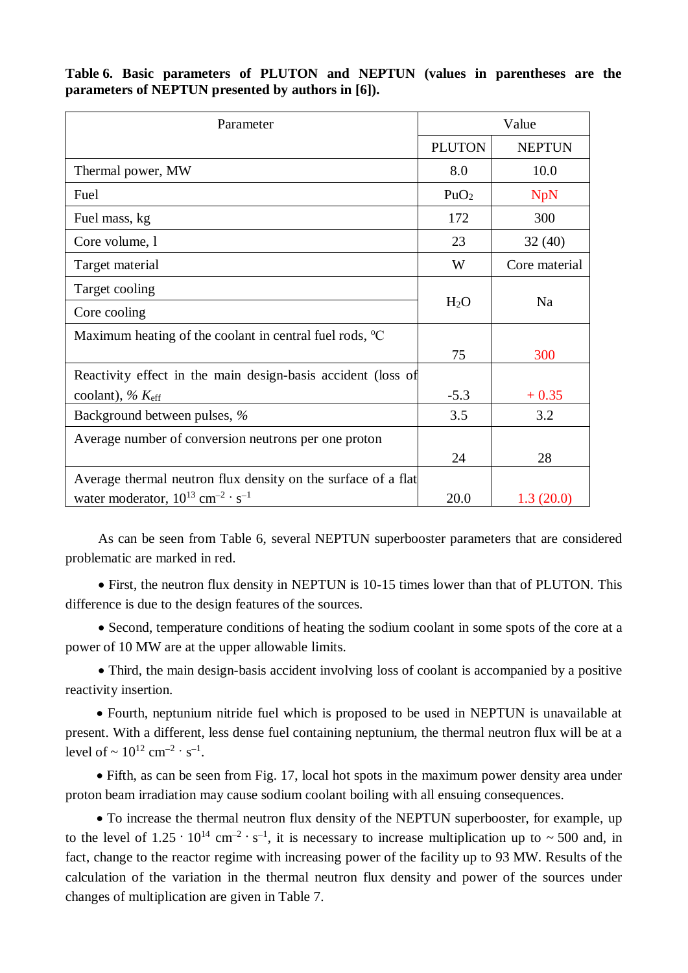| Parameter                                                         | Value            |               |
|-------------------------------------------------------------------|------------------|---------------|
|                                                                   | <b>PLUTON</b>    | <b>NEPTUN</b> |
| Thermal power, MW                                                 | 8.0              | 10.0          |
| Fuel                                                              | PuO <sub>2</sub> | <b>NpN</b>    |
| Fuel mass, kg                                                     | 172              | 300           |
| Core volume, 1                                                    | 23               | 32(40)        |
| Target material                                                   | W                | Core material |
| Target cooling                                                    |                  |               |
| Core cooling                                                      | H <sub>2</sub> O | Na            |
| Maximum heating of the coolant in central fuel rods, $\mathrm{C}$ |                  |               |
|                                                                   | 75               | 300           |
| Reactivity effect in the main design-basis accident (loss of      |                  |               |
| coolant), $\% K_{\text{eff}}$                                     | $-5.3$           | $+0.35$       |
| Background between pulses, %                                      | 3.5              | 3.2           |
| Average number of conversion neutrons per one proton              |                  |               |
|                                                                   | 24               | 28            |
| Average thermal neutron flux density on the surface of a flat     |                  |               |
| water moderator, $10^{13}$ cm <sup>-2</sup> · s <sup>-1</sup>     | 20.0             | 1.3(20.0)     |

**Table 6. Basic parameters of PLUTON and NEPTUN (values in parentheses are the parameters of NEPTUN presented by authors in [6]).**

As can be seen from Table 6, several NEPTUN superbooster parameters that are considered problematic are marked in red.

• First, the neutron flux density in NEPTUN is 10-15 times lower than that of PLUTON. This difference is due to the design features of the sources.

• Second, temperature conditions of heating the sodium coolant in some spots of the core at a power of 10 MW are at the upper allowable limits.

• Third, the main design-basis accident involving loss of coolant is accompanied by a positive reactivity insertion.

• Fourth, neptunium nitride fuel which is proposed to be used in NEPTUN is unavailable at present. With a different, less dense fuel containing neptunium, the thermal neutron flux will be at a level of  $\sim 10^{12}$  cm<sup>-2</sup> · s<sup>-1</sup>.

• Fifth, as can be seen from Fig. 17, local hot spots in the maximum power density area under proton beam irradiation may cause sodium coolant boiling with all ensuing consequences.

• To increase the thermal neutron flux density of the NEPTUN superbooster, for example, up to the level of  $1.25 \cdot 10^{14}$  cm<sup>-2</sup> · s<sup>-1</sup>, it is necessary to increase multiplication up to ~500 and, in fact, change to the reactor regime with increasing power of the facility up to 93 MW. Results of the calculation of the variation in the thermal neutron flux density and power of the sources under changes of multiplication are given in Table 7.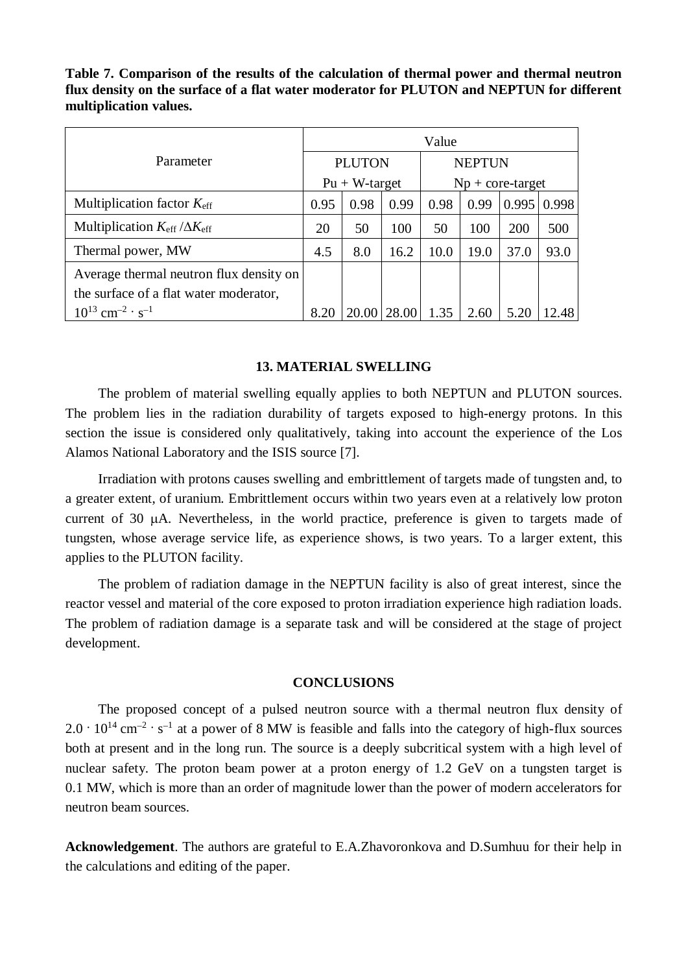**Table 7. Comparison of the results of the calculation of thermal power and thermal neutron flux density on the surface of a flat water moderator for PLUTON and NEPTUN for different multiplication values.**

|                                                       | Value           |       |               |                    |      |       |       |
|-------------------------------------------------------|-----------------|-------|---------------|--------------------|------|-------|-------|
| Parameter                                             | <b>PLUTON</b>   |       | <b>NEPTUN</b> |                    |      |       |       |
|                                                       | $Pu + W-target$ |       |               | $Np + core-target$ |      |       |       |
| Multiplication factor $K_{\text{eff}}$                | 0.95            | 0.98  | 0.99          | 0.98               | 0.99 | 0.995 | 0.998 |
| Multiplication $K_{\text{eff}}/\Delta K_{\text{eff}}$ | 20              | 50    | 100           | 50                 | 100  | 200   | 500   |
| Thermal power, MW                                     | 4.5             | 8.0   | 16.2          | 10.0               | 19.0 | 37.0  | 93.0  |
| Average thermal neutron flux density on               |                 |       |               |                    |      |       |       |
| the surface of a flat water moderator,                |                 |       |               |                    |      |       |       |
| $10^{13}$ cm <sup>-2</sup> · s <sup>-1</sup>          | 8.20            | 20.00 | 28.00         | 1.35               | 2.60 | 5.20  | .48   |

# **13. MATERIAL SWELLING**

The problem of material swelling equally applies to both NEPTUN and PLUTON sources. The problem lies in the radiation durability of targets exposed to high-energy protons. In this section the issue is considered only qualitatively, taking into account the experience of the Los Alamos National Laboratory and the ISIS source [7].

Irradiation with protons causes swelling and embrittlement of targets made of tungsten and, to a greater extent, of uranium. Embrittlement occurs within two years even at a relatively low proton current of  $30 \mu A$ . Nevertheless, in the world practice, preference is given to targets made of tungsten, whose average service life, as experience shows, is two years. To a larger extent, this applies to the PLUTON facility.

The problem of radiation damage in the NEPTUN facility is also of great interest, since the reactor vessel and material of the core exposed to proton irradiation experience high radiation loads. The problem of radiation damage is a separate task and will be considered at the stage of project development.

# **CONCLUSIONS**

The proposed concept of a pulsed neutron source with a thermal neutron flux density of  $2.0 \cdot 10^{14}$  cm<sup>-2</sup> · s<sup>-1</sup> at a power of 8 MW is feasible and falls into the category of high-flux sources both at present and in the long run. The source is a deeply subcritical system with a high level of nuclear safety. The proton beam power at a proton energy of 1.2 GeV on a tungsten target is 0.1 MW, which is more than an order of magnitude lower than the power of modern accelerators for neutron beam sources.

**Acknowledgement**. The authors are grateful to E.A.Zhavoronkova and D.Sumhuu for their help in the calculations and editing of the paper.